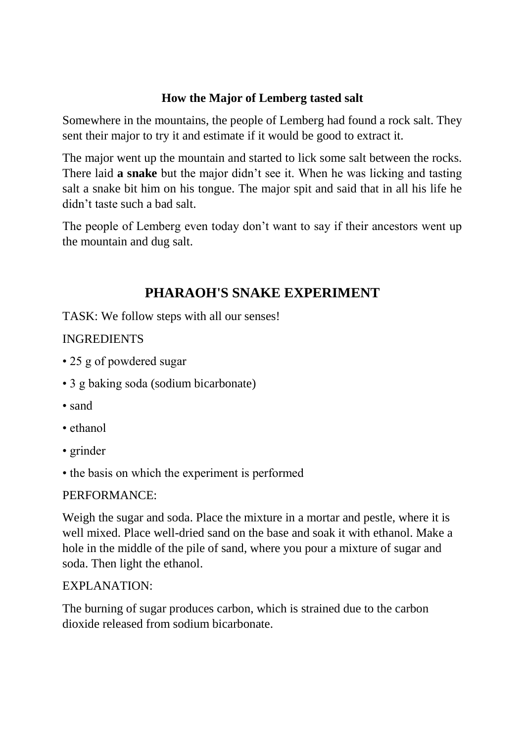#### **How the Major of Lemberg tasted salt**

Somewhere in the mountains, the people of Lemberg had found a rock salt. They sent their major to try it and estimate if it would be good to extract it.

The major went up the mountain and started to lick some salt between the rocks. There laid **a snake** but the major didn't see it. When he was licking and tasting salt a snake bit him on his tongue. The major spit and said that in all his life he didn't taste such a bad salt.

The people of Lemberg even today don't want to say if their ancestors went up the mountain and dug salt.

## **PHARAOH'S SNAKE EXPERIMENT**

TASK: We follow steps with all our senses!

#### INGREDIENTS

- 25 g of powdered sugar
- 3 g baking soda (sodium bicarbonate)
- sand
- ethanol
- grinder
- the basis on which the experiment is performed

#### PERFORMANCE:

Weigh the sugar and soda. Place the mixture in a mortar and pestle, where it is well mixed. Place well-dried sand on the base and soak it with ethanol. Make a hole in the middle of the pile of sand, where you pour a mixture of sugar and soda. Then light the ethanol.

#### EXPLANATION:

The burning of sugar produces carbon, which is strained due to the carbon dioxide released from sodium bicarbonate.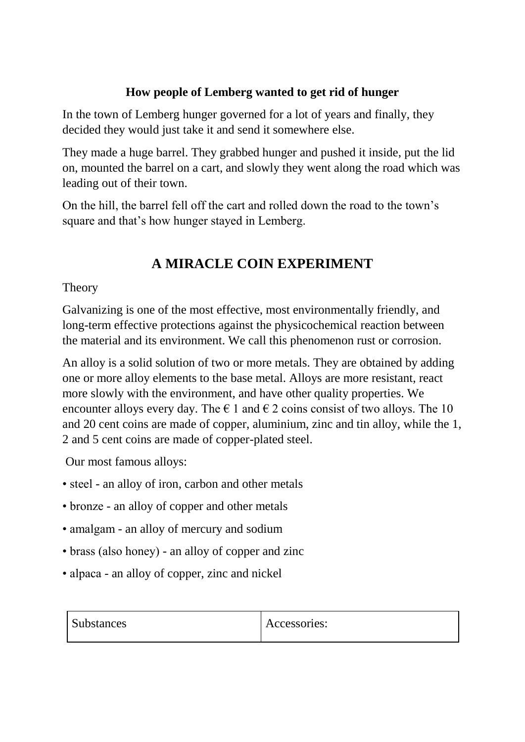### **How people of Lemberg wanted to get rid of hunger**

In the town of Lemberg hunger governed for a lot of years and finally, they decided they would just take it and send it somewhere else.

They made a huge barrel. They grabbed hunger and pushed it inside, put the lid on, mounted the barrel on a cart, and slowly they went along the road which was leading out of their town.

On the hill, the barrel fell off the cart and rolled down the road to the town's square and that's how hunger stayed in Lemberg.

# **A MIRACLE COIN EXPERIMENT**

#### **Theory**

Galvanizing is one of the most effective, most environmentally friendly, and long-term effective protections against the physicochemical reaction between the material and its environment. We call this phenomenon rust or corrosion.

An alloy is a solid solution of two or more metals. They are obtained by adding one or more alloy elements to the base metal. Alloys are more resistant, react more slowly with the environment, and have other quality properties. We encounter alloys every day. The  $\epsilon$  1 and  $\epsilon$  2 coins consist of two alloys. The 10 and 20 cent coins are made of copper, aluminium, zinc and tin alloy, while the 1, 2 and 5 cent coins are made of copper-plated steel.

Our most famous alloys:

- steel an alloy of iron, carbon and other metals
- bronze an alloy of copper and other metals
- amalgam an alloy of mercury and sodium
- brass (also honey) an alloy of copper and zinc
- alpaca an alloy of copper, zinc and nickel

| <i>Substances</i> | Accessories: |
|-------------------|--------------|
|-------------------|--------------|